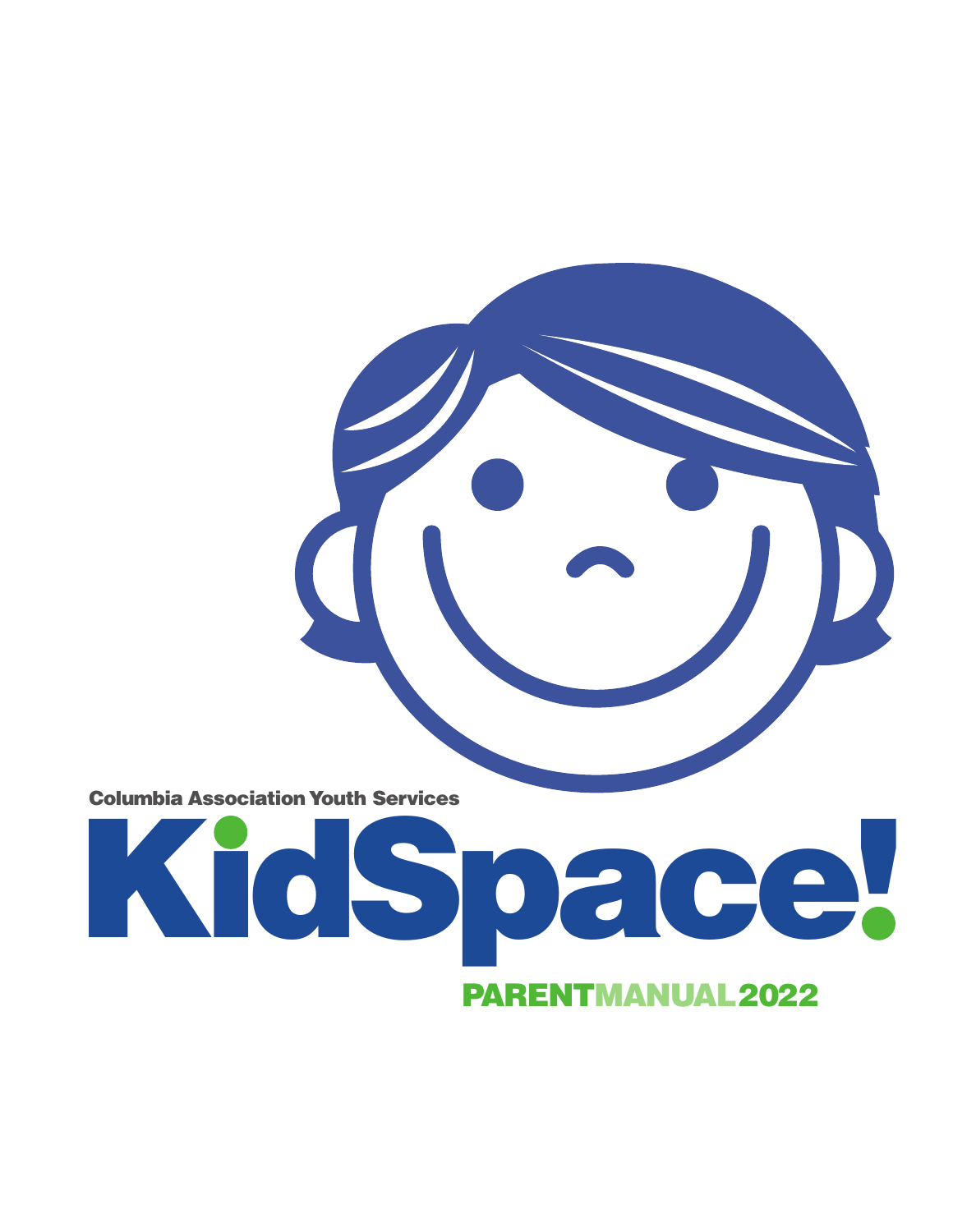**Columbia Association Youth Services**

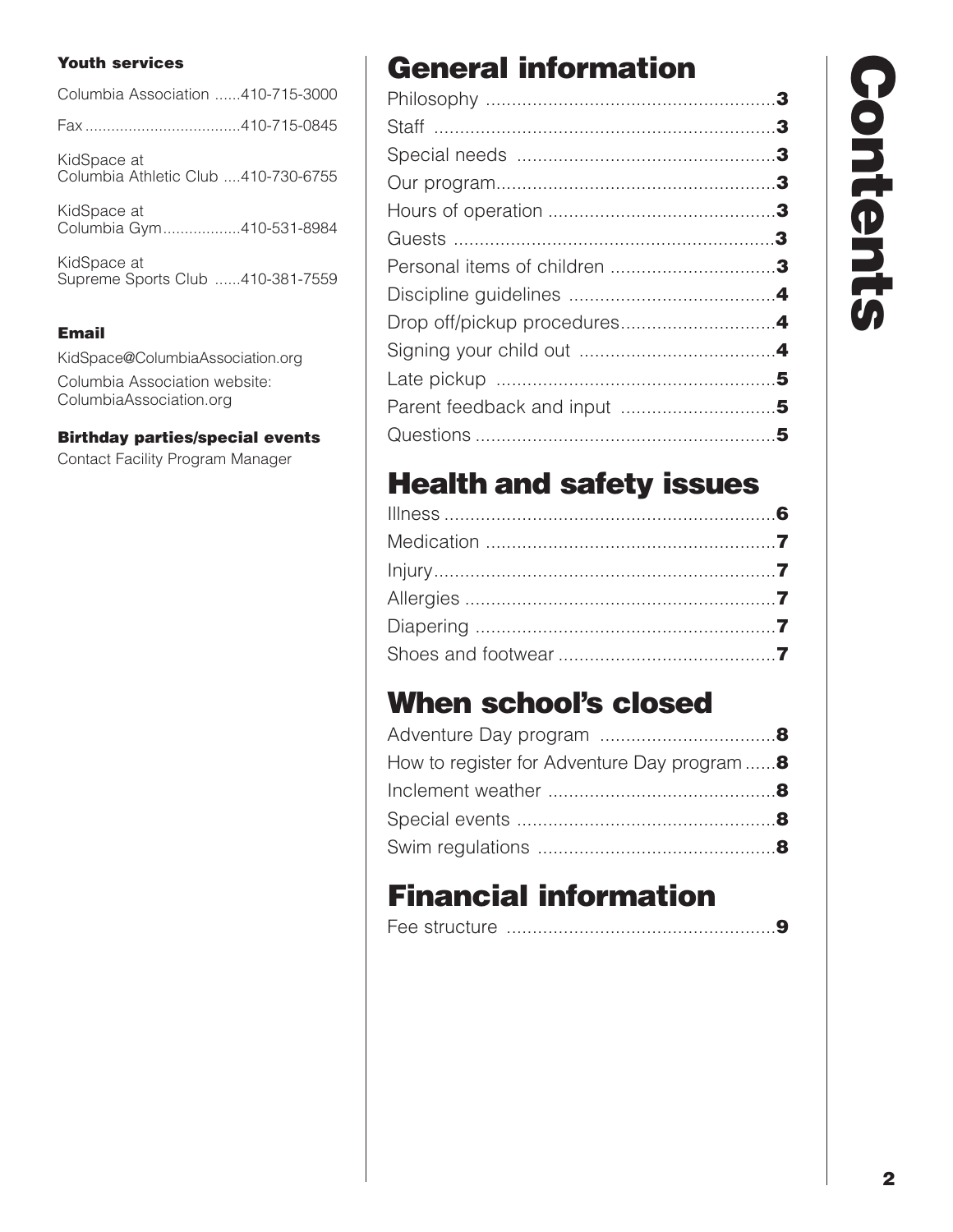#### **Youth services**

| Columbia Association 410-715-3000                  |
|----------------------------------------------------|
|                                                    |
| KidSpace at<br>Columbia Athletic Club 410-730-6755 |
| KidSpace at<br>Columbia Gym410-531-8984            |
| KidCnoon of                                        |

KidSpace at Supreme Sports Club ......410-381-7559

#### **Email**

KidSpace@ColumbiaAssociation.org Columbia Association website: ColumbiaAssociation.org

**Birthday parties/special events**

Contact Facility Program Manager

# **General information**

# **Health and safety issues**

## **When school's closed**

| How to register for Adventure Day program |  |
|-------------------------------------------|--|
|                                           |  |
|                                           |  |
|                                           |  |

# **Financial information**

## **C o n t e n t s**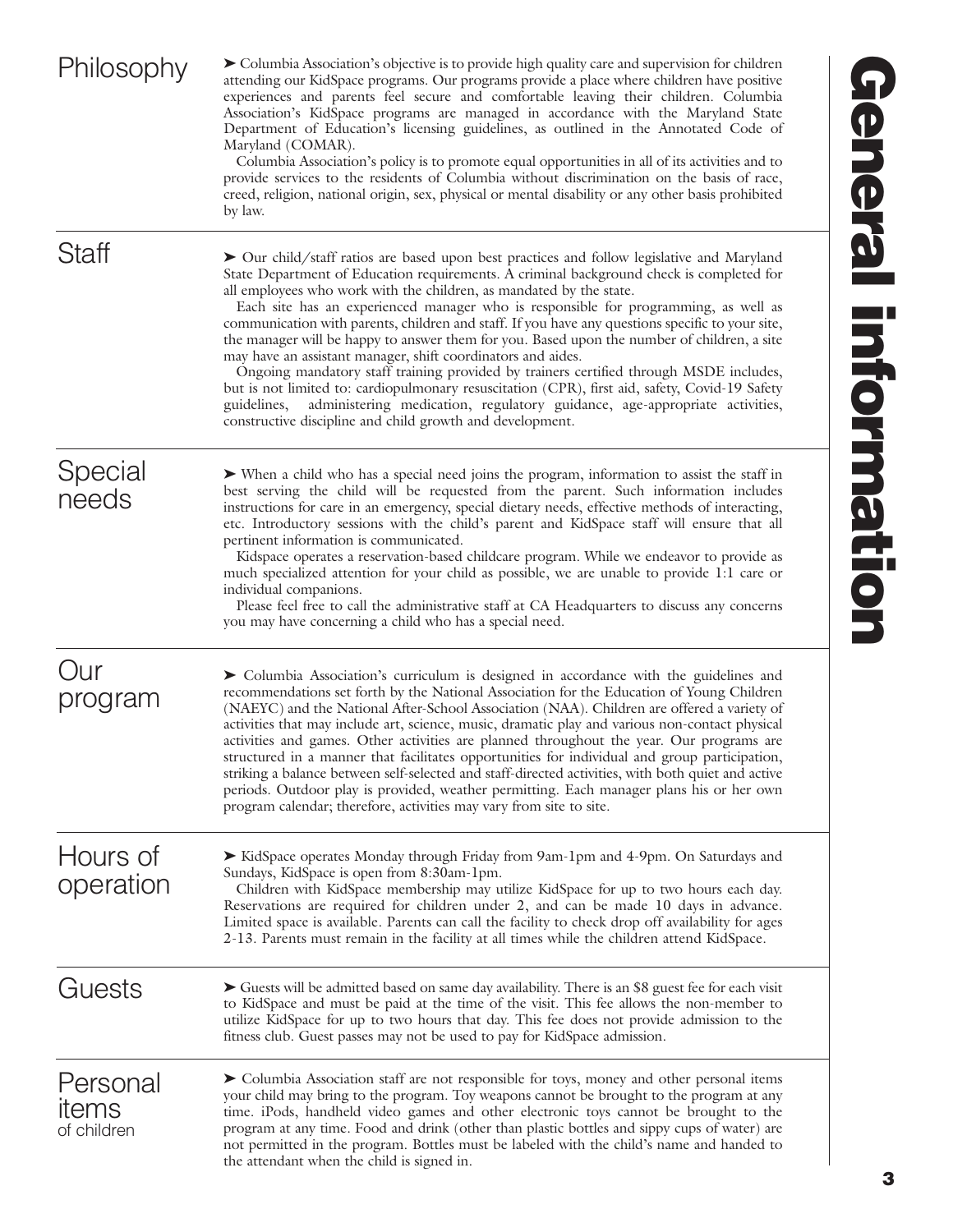| Philosophy                       | ► Columbia Association's objective is to provide high quality care and supervision for children<br>attending our KidSpace programs. Our programs provide a place where children have positive<br>experiences and parents feel secure and comfortable leaving their children. Columbia<br>Association's KidSpace programs are managed in accordance with the Maryland State<br>Department of Education's licensing guidelines, as outlined in the Annotated Code of<br>Maryland (COMAR).<br>Columbia Association's policy is to promote equal opportunities in all of its activities and to<br>provide services to the residents of Columbia without discrimination on the basis of race,<br>creed, religion, national origin, sex, physical or mental disability or any other basis prohibited<br>by law.                                                                                                                                                                     |
|----------------------------------|-------------------------------------------------------------------------------------------------------------------------------------------------------------------------------------------------------------------------------------------------------------------------------------------------------------------------------------------------------------------------------------------------------------------------------------------------------------------------------------------------------------------------------------------------------------------------------------------------------------------------------------------------------------------------------------------------------------------------------------------------------------------------------------------------------------------------------------------------------------------------------------------------------------------------------------------------------------------------------|
| Staff                            | > Our child/staff ratios are based upon best practices and follow legislative and Maryland<br>State Department of Education requirements. A criminal background check is completed for<br>all employees who work with the children, as mandated by the state.<br>Each site has an experienced manager who is responsible for programming, as well as<br>communication with parents, children and staff. If you have any questions specific to your site,<br>the manager will be happy to answer them for you. Based upon the number of children, a site<br>may have an assistant manager, shift coordinators and aides.<br>Ongoing mandatory staff training provided by trainers certified through MSDE includes,<br>but is not limited to: cardiopulmonary resuscitation (CPR), first aid, safety, Covid-19 Safety<br>administering medication, regulatory guidance, age-appropriate activities,<br>guidelines,<br>constructive discipline and child growth and development. |
| Special<br>needs                 | > When a child who has a special need joins the program, information to assist the staff in<br>best serving the child will be requested from the parent. Such information includes<br>instructions for care in an emergency, special dietary needs, effective methods of interacting,<br>etc. Introductory sessions with the child's parent and KidSpace staff will ensure that all<br>pertinent information is communicated.<br>Kidspace operates a reservation-based childcare program. While we endeavor to provide as<br>much specialized attention for your child as possible, we are unable to provide 1:1 care or<br>individual companions.<br>Please feel free to call the administrative staff at CA Headquarters to discuss any concerns<br>you may have concerning a child who has a special need.                                                                                                                                                                 |
| Our<br>program                   | > Columbia Association's curriculum is designed in accordance with the guidelines and<br>recommendations set forth by the National Association for the Education of Young Children<br>(NAEYC) and the National After-School Association (NAA). Children are offered a variety of<br>activities that may include art, science, music, dramatic play and various non-contact physical<br>activities and games. Other activities are planned throughout the year. Our programs are<br>structured in a manner that facilitates opportunities for individual and group participation,<br>striking a balance between self-selected and staff-directed activities, with both quiet and active<br>periods. Outdoor play is provided, weather permitting. Each manager plans his or her own<br>program calendar; therefore, activities may vary from site to site.                                                                                                                     |
| Hours of<br>operation            | ► KidSpace operates Monday through Friday from 9am-1pm and 4-9pm. On Saturdays and<br>Sundays, KidSpace is open from 8:30am-1pm.<br>Children with KidSpace membership may utilize KidSpace for up to two hours each day.<br>Reservations are required for children under 2, and can be made 10 days in advance.<br>Limited space is available. Parents can call the facility to check drop off availability for ages<br>2-13. Parents must remain in the facility at all times while the children attend KidSpace.                                                                                                                                                                                                                                                                                                                                                                                                                                                            |
| Guests                           | Guests will be admitted based on same day availability. There is an \$8 guest fee for each visit<br>to KidSpace and must be paid at the time of the visit. This fee allows the non-member to<br>utilize KidSpace for up to two hours that day. This fee does not provide admission to the<br>fitness club. Guest passes may not be used to pay for KidSpace admission.                                                                                                                                                                                                                                                                                                                                                                                                                                                                                                                                                                                                        |
| Personal<br>items<br>of children | > Columbia Association staff are not responsible for toys, money and other personal items<br>your child may bring to the program. Toy weapons cannot be brought to the program at any<br>time. iPods, handheld video games and other electronic toys cannot be brought to the<br>program at any time. Food and drink (other than plastic bottles and sippy cups of water) are<br>not permitted in the program. Bottles must be labeled with the child's name and handed to<br>the attendant when the child is signed in.                                                                                                                                                                                                                                                                                                                                                                                                                                                      |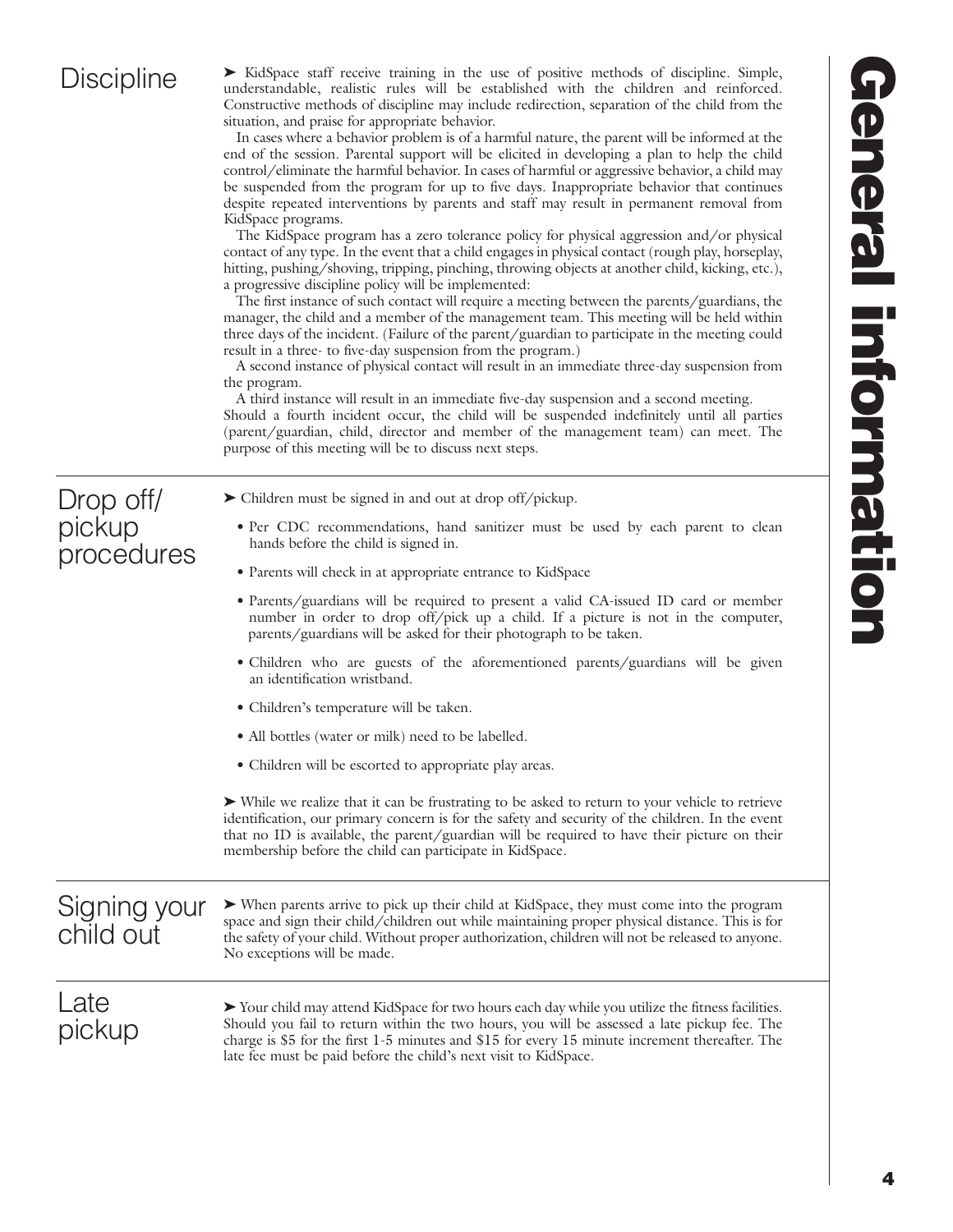### **Discipline**

► KidSpace staff receive training in the use of positive methods of discipline. Simple, understandable, realistic rules will be established with the children and reinforced. Constructive methods of discipline may include redirection, separation of the child from the situation, and praise for appropriate behavior.

In cases where a behavior problem is of a harmful nature, the parent will be informed at the end of the session. Parental support will be elicited in developing a plan to help the child control/eliminate the harmful behavior. In cases of harmful or aggressive behavior, a child may be suspended from the program for up to five days. Inappropriate behavior that continues despite repeated interventions by parents and staff may result in permanent removal from KidSpace programs.

The KidSpace program has a zero tolerance policy for physical aggression and/or physical contact of any type. In the event that a child engages in physical contact (rough play, horseplay, hitting, pushing/shoving, tripping, pinching, throwing objects at another child, kicking, etc.), a progressive discipline policy will be implemented:

The first instance of such contact will require a meeting between the parents/guardians, the manager, the child and a member of the management team. This meeting will be held within three days of the incident. (Failure of the parent/guardian to participate in the meeting could result in a three- to five-day suspension from the program.)

A second instance of physical contact will result in an immediate three-day suspension from the program.

A third instance will result in an immediate five-day suspension and a second meeting. Should a fourth incident occur, the child will be suspended indefinitely until all parties (parent/guardian, child, director and member of the management team) can meet. The purpose of this meeting will be to discuss next steps.

| Drop off/  |
|------------|
| pickup     |
| procedures |

- ► Children must be signed in and out at drop off/pickup.
	- Per CDC recommendations, hand sanitizer must be used by each parent to clean hands before the child is signed in.
	- Parents will check in at appropriate entrance to KidSpace
	- Parents/guardians will be required to present a valid CA-issued ID card or member number in order to drop off/pick up a child. If a picture is not in the computer, parents/guardians will be asked for their photograph to be taken.
	- Children who are guests of the aforementioned parents/guardians will be given an identification wristband.
	- Children's temperature will be taken.
	- All bottles (water or milk) need to be labelled.
	- Children will be escorted to appropriate play areas.

‰ While we realize that it can be frustrating to be asked to return to your vehicle to retrieve identification, our primary concern is for the safety and security of the children. In the event that no ID is available, the parent/guardian will be required to have their picture on their membership before the child can participate in KidSpace.

#### Signing your child out

‰ When parents arrive to pick up their child at KidSpace, they must come into the program space and sign their child/children out while maintaining proper physical distance. This is for the safety of your child. Without proper authorization, children will not be released to anyone. No exceptions will be made.

#### Late pickup

‰ Your child may attend KidSpace for two hours each day while you utilize the fitness facilities. Should you fail to return within the two hours, you will be assessed a late pickup fee. The charge is \$5 for the first 1-5 minutes and \$15 for every 15 minute increment thereafter. The late fee must be paid before the child's next visit to KidSpace.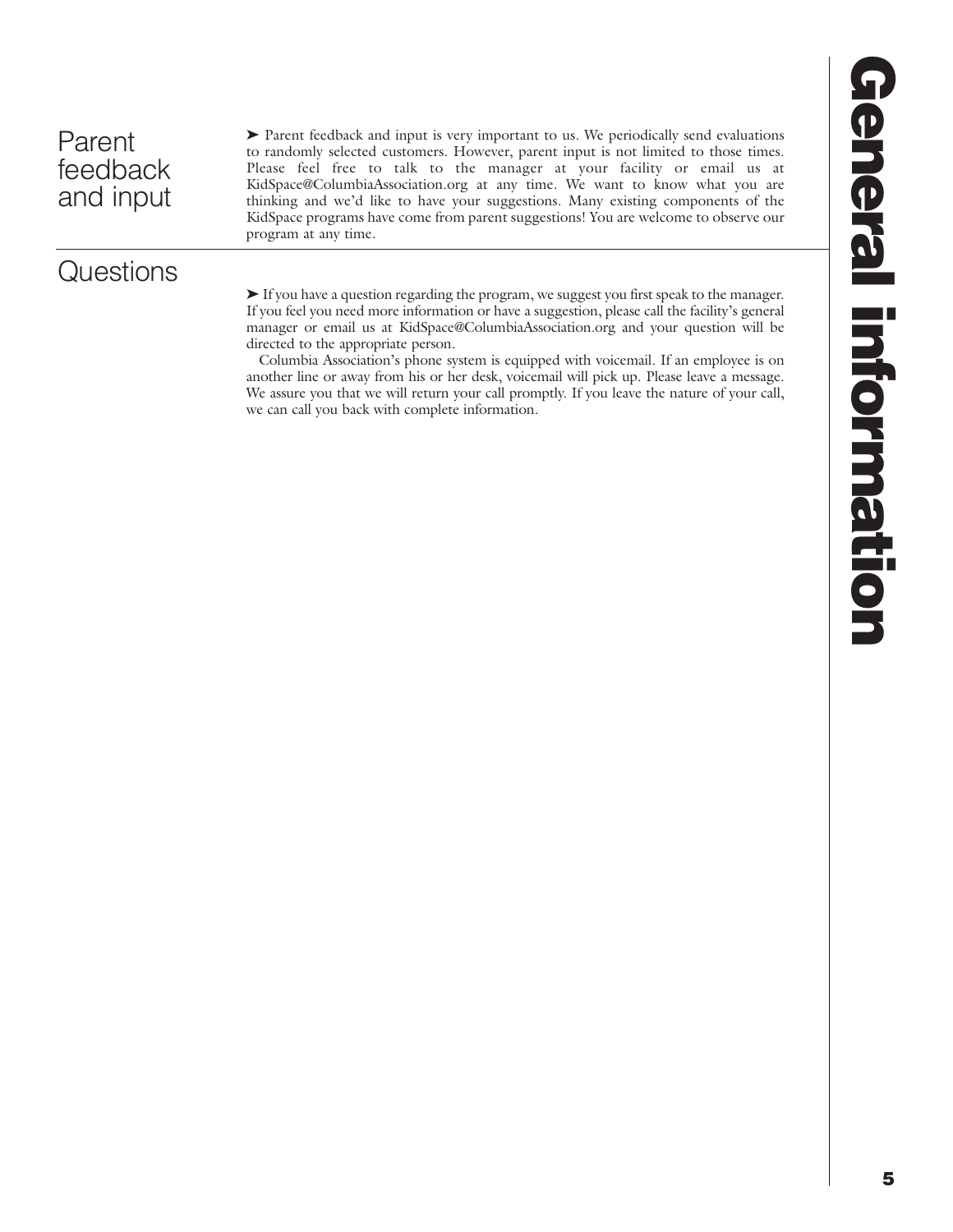**Questions** 

▶ Parent feedback and input is very important to us. We periodically send evaluations to randomly selected customers. However, parent input is not limited to those times. Please feel free to talk to the manager at your facility or email us at KidSpace@ColumbiaAssociation.org at any time. We want to know what you are thinking and we'd like to have your suggestions. Many existing components of the KidSpace programs have come from parent suggestions! You are welcome to observe our program at any time.

‰ If you have a question regarding the program, we suggest you first speak to the manager. If you feel you need more information or have a suggestion, please call the facility's general manager or email us at KidSpace@ColumbiaAssociation.org and your question will be directed to the appropriate person.

Columbia Association's phone system is equipped with voicemail. If an employee is on another line or away from his or her desk, voicemail will pick up. Please leave a message. We assure you that we will return your call promptly. If you leave the nature of your call, we can call you back with complete information.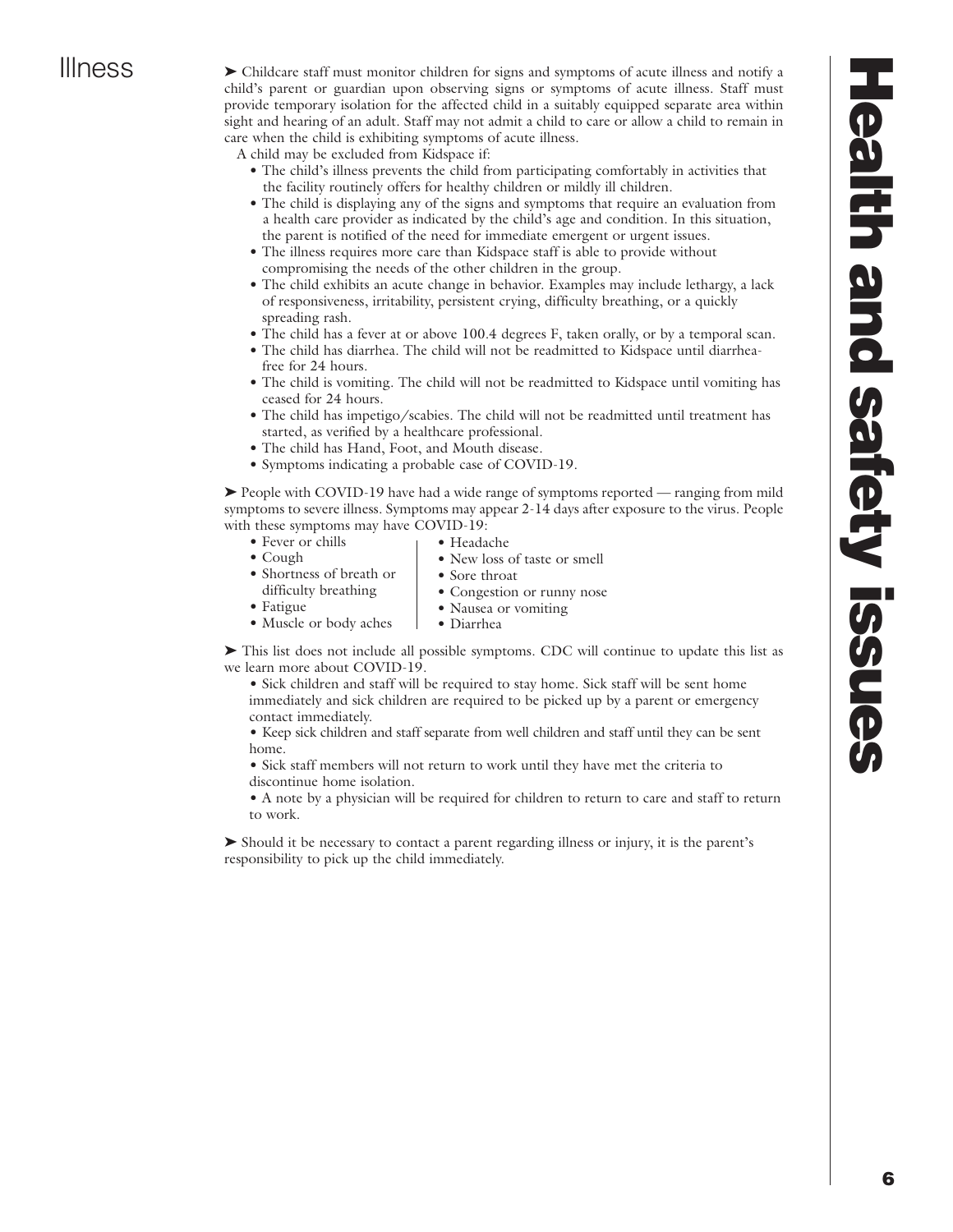Illness 
index Childcare staff must monitor children for signs and symptoms of acute illness and notify a child's parent or guardian upon observing signs or symptoms of acute illness. Staff must provide temporary isolation for the affected child in a suitably equipped separate area within sight and hearing of an adult. Staff may not admit a child to care or allow a child to remain in care when the child is exhibiting symptoms of acute illness.

A child may be excluded from Kidspace if:

- The child's illness prevents the child from participating comfortably in activities that the facility routinely offers for healthy children or mildly ill children.
- The child is displaying any of the signs and symptoms that require an evaluation from a health care provider as indicated by the child's age and condition. In this situation, the parent is notified of the need for immediate emergent or urgent issues.
- The illness requires more care than Kidspace staff is able to provide without compromising the needs of the other children in the group.
- The child exhibits an acute change in behavior. Examples may include lethargy, a lack of responsiveness, irritability, persistent crying, difficulty breathing, or a quickly spreading rash.
- The child has a fever at or above 100.4 degrees F, taken orally, or by a temporal scan.
- The child has diarrhea. The child will not be readmitted to Kidspace until diarrheafree for 24 hours.
- The child is vomiting. The child will not be readmitted to Kidspace until vomiting has ceased for 24 hours.
- The child has impetigo/scabies. The child will not be readmitted until treatment has started, as verified by a healthcare professional.
- The child has Hand, Foot, and Mouth disease.
- Symptoms indicating a probable case of COVID-19.

 $\triangleright$  People with COVID-19 have had a wide range of symptoms reported — ranging from mild symptoms to severe illness. Symptoms may appear 2-14 days after exposure to the virus. People with these symptoms may have COVID-19:

- Fever or chills • Headache
	- New loss of taste or smell
- Cough • Shortness of breath or difficulty breathing • Sore throat • Congestion or runny nose
- Fatigue • Nausea or vomiting
- Muscle or body aches • Diarrhea

► This list does not include all possible symptoms. CDC will continue to update this list as we learn more about COVID-19.

• Sick children and staff will be required to stay home. Sick staff will be sent home immediately and sick children are required to be picked up by a parent or emergency contact immediately.

• Keep sick children and staff separate from well children and staff until they can be sent home.

• Sick staff members will not return to work until they have met the criteria to discontinue home isolation.

• A note by a physician will be required for children to return to care and staff to return to work.

‰ Should it be necessary to contact a parent regarding illness or injury, it is the parent's responsibility to pick up the child immediately.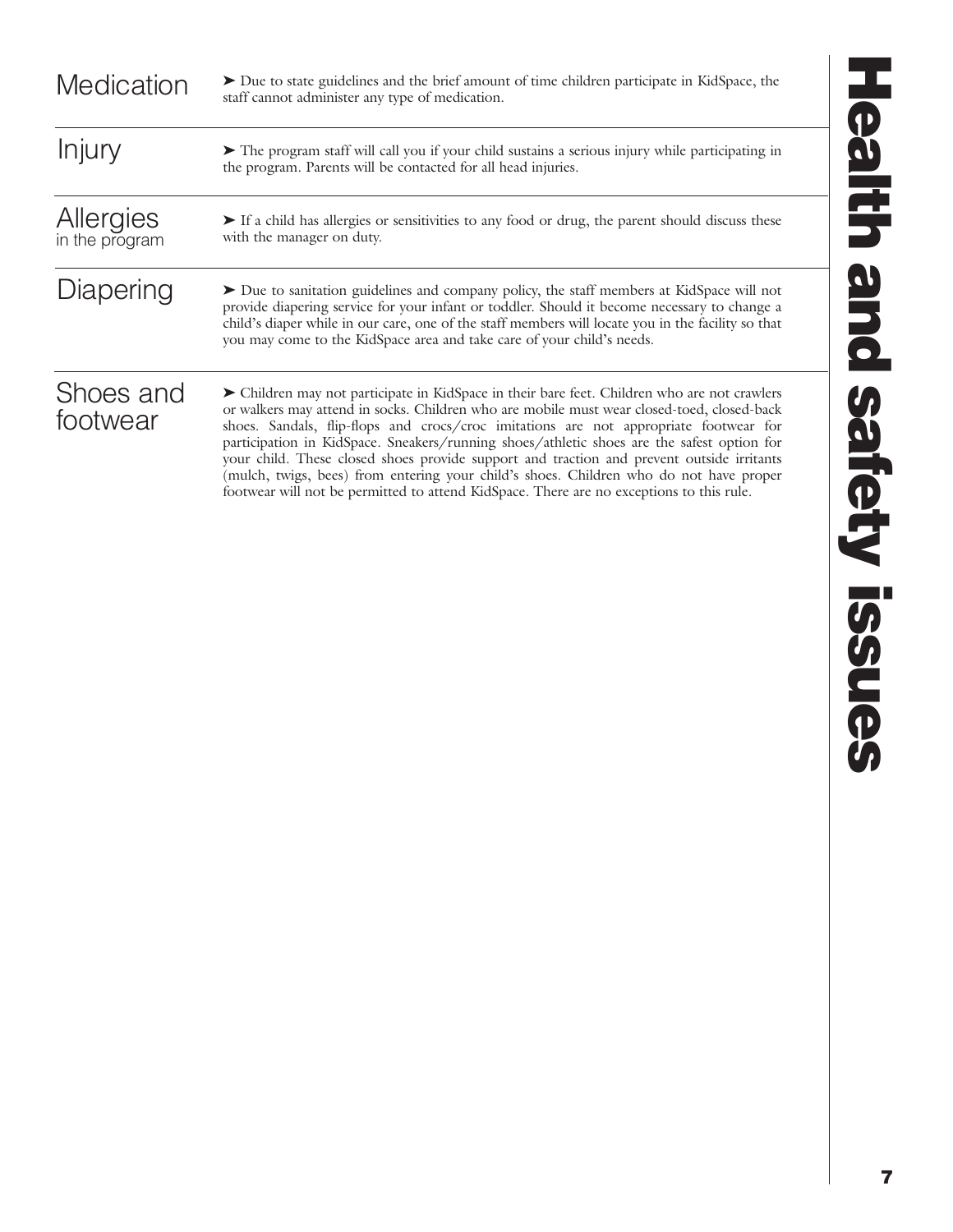| Medication                  | Due to state guidelines and the brief amount of time children participate in KidSpace, the<br>staff cannot administer any type of medication.                                                                                                                                                                                                                                                                                                                                                                                                                                                                                                                        |
|-----------------------------|----------------------------------------------------------------------------------------------------------------------------------------------------------------------------------------------------------------------------------------------------------------------------------------------------------------------------------------------------------------------------------------------------------------------------------------------------------------------------------------------------------------------------------------------------------------------------------------------------------------------------------------------------------------------|
| Injury                      | The program staff will call you if your child sustains a serious injury while participating in<br>the program. Parents will be contacted for all head injuries.                                                                                                                                                                                                                                                                                                                                                                                                                                                                                                      |
| Allergies<br>in the program | If a child has allergies or sensitivities to any food or drug, the parent should discuss these<br>with the manager on duty.                                                                                                                                                                                                                                                                                                                                                                                                                                                                                                                                          |
| Diapering                   | Due to sanitation guidelines and company policy, the staff members at KidSpace will not<br>provide diapering service for your infant or toddler. Should it become necessary to change a<br>child's diaper while in our care, one of the staff members will locate you in the facility so that<br>you may come to the KidSpace area and take care of your child's needs.                                                                                                                                                                                                                                                                                              |
| Shoes and<br>footwear       | > Children may not participate in KidSpace in their bare feet. Children who are not crawlers<br>or walkers may attend in socks. Children who are mobile must wear closed-toed, closed-back<br>shoes. Sandals, flip-flops and crocs/croc imitations are not appropriate footwear for<br>participation in KidSpace. Sneakers/running shoes/athletic shoes are the safest option for<br>your child. These closed shoes provide support and traction and prevent outside irritants<br>(mulch, twigs, bees) from entering your child's shoes. Children who do not have proper<br>footwear will not be permitted to attend KidSpace. There are no exceptions to this rule. |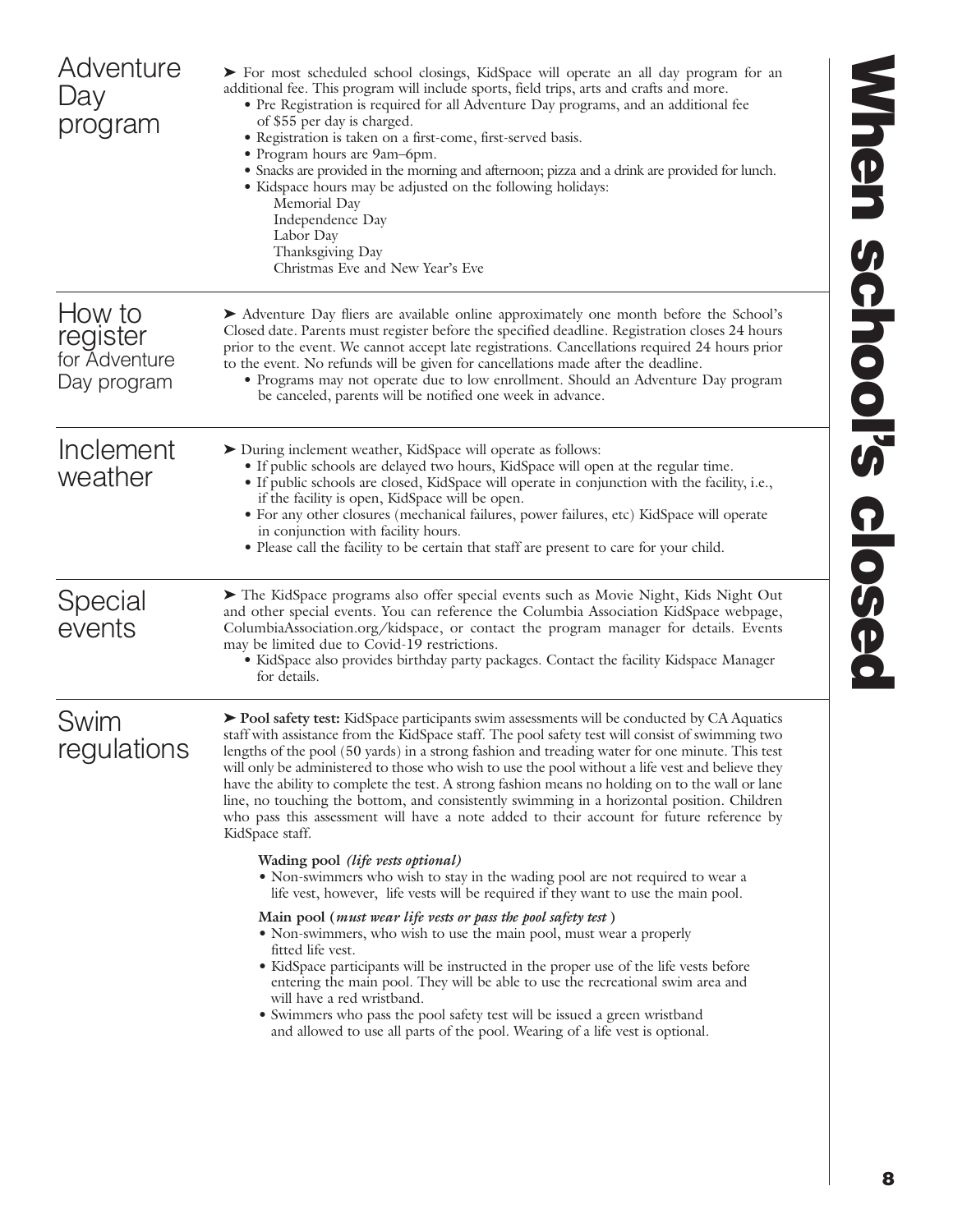| Adventure<br>Day<br>program                        | > For most scheduled school closings, KidSpace will operate an all day program for an<br>additional fee. This program will include sports, field trips, arts and crafts and more.<br>• Pre Registration is required for all Adventure Day programs, and an additional fee<br>of \$55 per day is charged.<br>· Registration is taken on a first-come, first-served basis.<br>• Program hours are 9am-6pm.<br>• Snacks are provided in the morning and afternoon; pizza and a drink are provided for lunch.<br>• Kidspace hours may be adjusted on the following holidays:<br>Memorial Day<br>Independence Day<br>Labor Day<br>Thanksgiving Day<br>Christmas Eve and New Year's Eve                                      | <b>Mhen</b>     |
|----------------------------------------------------|------------------------------------------------------------------------------------------------------------------------------------------------------------------------------------------------------------------------------------------------------------------------------------------------------------------------------------------------------------------------------------------------------------------------------------------------------------------------------------------------------------------------------------------------------------------------------------------------------------------------------------------------------------------------------------------------------------------------|-----------------|
| How to<br>register<br>for Adventure<br>Day program | Adventure Day fliers are available online approximately one month before the School's<br>Closed date. Parents must register before the specified deadline. Registration closes 24 hours<br>prior to the event. We cannot accept late registrations. Cancellations required 24 hours prior<br>to the event. No refunds will be given for cancellations made after the deadline.<br>• Programs may not operate due to low enrollment. Should an Adventure Day program<br>be canceled, parents will be notified one week in advance.                                                                                                                                                                                      | <b>School's</b> |
| Inclement<br>weather                               | > During inclement weather, KidSpace will operate as follows:<br>• If public schools are delayed two hours, KidSpace will open at the regular time.<br>• If public schools are closed, KidSpace will operate in conjunction with the facility, i.e.,<br>if the facility is open, KidSpace will be open.<br>• For any other closures (mechanical failures, power failures, etc) KidSpace will operate<br>in conjunction with facility hours.<br>• Please call the facility to be certain that staff are present to care for your child.                                                                                                                                                                                 |                 |
| Special<br>events                                  | The KidSpace programs also offer special events such as Movie Night, Kids Night Out<br>and other special events. You can reference the Columbia Association KidSpace webpage,<br>ColumbiaAssociation.org/kidspace, or contact the program manager for details. Events<br>may be limited due to Covid-19 restrictions.<br>• KidSpace also provides birthday party packages. Contact the facility Kidspace Manager<br>for details.                                                                                                                                                                                                                                                                                       | <b>closed</b>   |
| Swim<br>regulations                                | ▶ Pool safety test: KidSpace participants swim assessments will be conducted by CA Aquatics<br>staff with assistance from the KidSpace staff. The pool safety test will consist of swimming two<br>lengths of the pool (50 yards) in a strong fashion and treading water for one minute. This test<br>will only be administered to those who wish to use the pool without a life vest and believe they<br>have the ability to complete the test. A strong fashion means no holding on to the wall or lane<br>line, no touching the bottom, and consistently swimming in a horizontal position. Children<br>who pass this assessment will have a note added to their account for future reference by<br>KidSpace staff. |                 |
|                                                    | Wading pool (life vests optional)<br>• Non-swimmers who wish to stay in the wading pool are not required to wear a<br>life vest, however, life vests will be required if they want to use the main pool.                                                                                                                                                                                                                                                                                                                                                                                                                                                                                                               |                 |
|                                                    | Main pool ( <i>must wear life vests or pass the pool safety test</i> )<br>• Non-swimmers, who wish to use the main pool, must wear a properly<br>fitted life vest.<br>• KidSpace participants will be instructed in the proper use of the life vests before<br>entering the main pool. They will be able to use the recreational swim area and<br>will have a red wristband.<br>• Swimmers who pass the pool safety test will be issued a green wristband<br>and allowed to use all parts of the pool. Wearing of a life vest is optional.                                                                                                                                                                             |                 |
|                                                    |                                                                                                                                                                                                                                                                                                                                                                                                                                                                                                                                                                                                                                                                                                                        |                 |